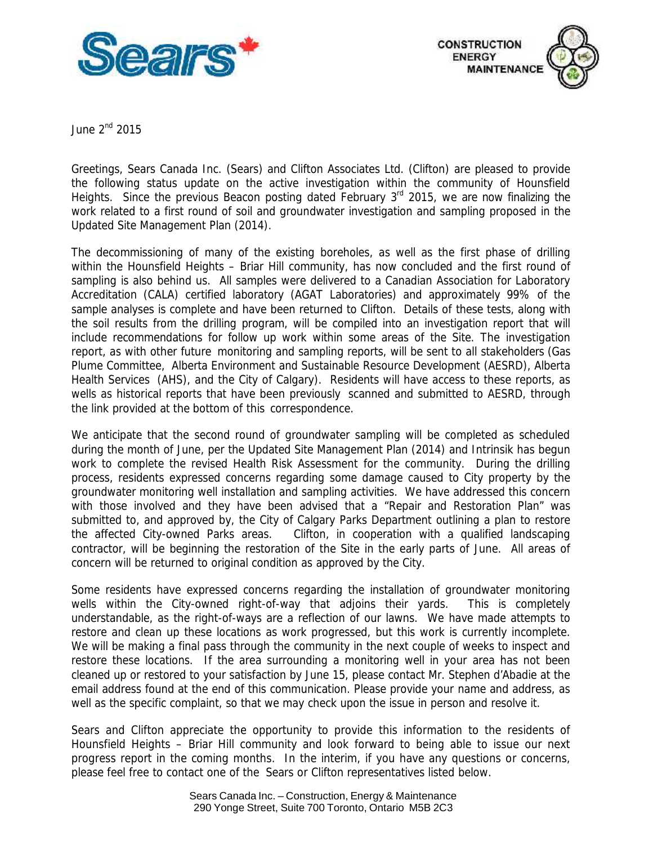



June 2<sup>nd</sup> 2015

 Greetings, Sears Canada Inc. (Sears) and Clifton Associates Ltd. (Clifton) are pleased to provide the following status update on the active investigation within the community of Hounsfield Heights. Since the previous Beacon posting dated February 3<sup>rd</sup> 2015, we are now finalizing the work related to a first round of soil and groundwater investigation and sampling proposed in the Updated Site Management Plan (2014).

 The decommissioning of many of the existing boreholes, as well as the first phase of drilling within the Hounsfield Heights – Briar Hill community, has now concluded and the first round of sampling is also behind us. All samples were delivered to a Canadian Association for Laboratory Accreditation (CALA) certified laboratory (AGAT Laboratories) and approximately 99% of the sample analyses is complete and have been returned to Clifton. Details of these tests, along with the soil results from the drilling program, will be compiled into an investigation report that will include recommendations for follow up work within some areas of the Site. The investigation report, as with other future monitoring and sampling reports, will be sent to all stakeholders (Gas Health Services (AHS), and the City of Calgary). Residents will have access to these reports, as wells as historical reports that have been previously scanned and submitted to AESRD, through Plume Committee, Alberta Environment and Sustainable Resource Development (AESRD), Alberta the link provided at the bottom of this correspondence.

 We anticipate that the second round of groundwater sampling will be completed as scheduled during the month of June, per the Updated Site Management Plan (2014) and Intrinsik has begun work to complete the revised Health Risk Assessment for the community. During the drilling process, residents expressed concerns regarding some damage caused to City property by the groundwater monitoring well installation and sampling activities. We have addressed this concern with those involved and they have been advised that a "Repair and Restoration Plan" was submitted to, and approved by, the City of Calgary Parks Department outlining a plan to restore the affected City-owned Parks areas. contractor, will be beginning the restoration of the Site in the early parts of June. All areas of concern will be returned to original condition as approved by the City. Clifton, in cooperation with a qualified landscaping

 Some residents have expressed concerns regarding the installation of groundwater monitoring wells within the City-owned right-of-way that adjoins their yards. This is completely understandable, as the right-of-ways are a reflection of our lawns. We have made attempts to restore and clean up these locations as work progressed, but this work is currently incomplete. We will be making a final pass through the community in the next couple of weeks to inspect and restore these locations. If the area surrounding a monitoring well in your area has not been cleaned up or restored to your satisfaction by June 15, please contact Mr. Stephen d'Abadie at the email address found at the end of this communication. Please provide your name and address, as well as the specific complaint, so that we may check upon the issue in person and resolve it.

 Sears and Clifton appreciate the opportunity to provide this information to the residents of Hounsfield Heights – Briar Hill community and look forward to being able to issue our next progress report in the coming months. In the interim, if you have any questions or concerns, please feel free to contact one of the Sears or Clifton representatives listed below.